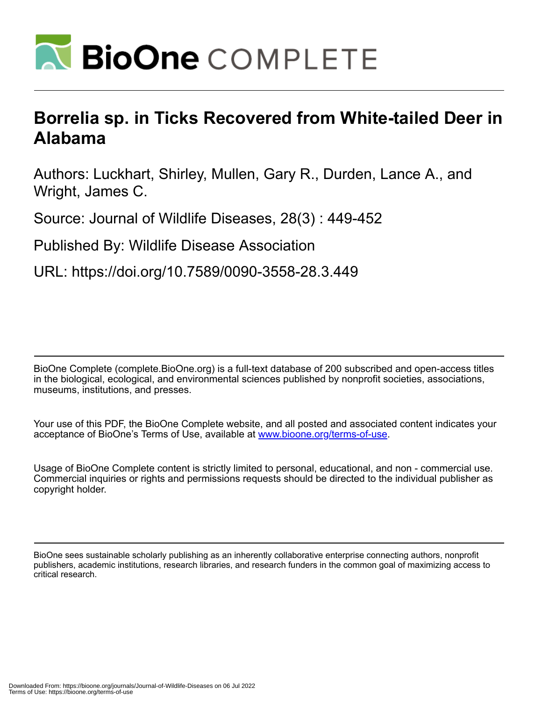

## **Borrelia sp. in Ticks Recovered from White-tailed Deer in Alabama**

Authors: Luckhart, Shirley, Mullen, Gary R., Durden, Lance A., and Wright, James C.

Source: Journal of Wildlife Diseases, 28(3) : 449-452

Published By: Wildlife Disease Association

URL: https://doi.org/10.7589/0090-3558-28.3.449

BioOne Complete (complete.BioOne.org) is a full-text database of 200 subscribed and open-access titles in the biological, ecological, and environmental sciences published by nonprofit societies, associations, museums, institutions, and presses.

Your use of this PDF, the BioOne Complete website, and all posted and associated content indicates your acceptance of BioOne's Terms of Use, available at www.bioone.org/terms-of-use.

Usage of BioOne Complete content is strictly limited to personal, educational, and non - commercial use. Commercial inquiries or rights and permissions requests should be directed to the individual publisher as copyright holder.

BioOne sees sustainable scholarly publishing as an inherently collaborative enterprise connecting authors, nonprofit publishers, academic institutions, research libraries, and research funders in the common goal of maximizing access to critical research.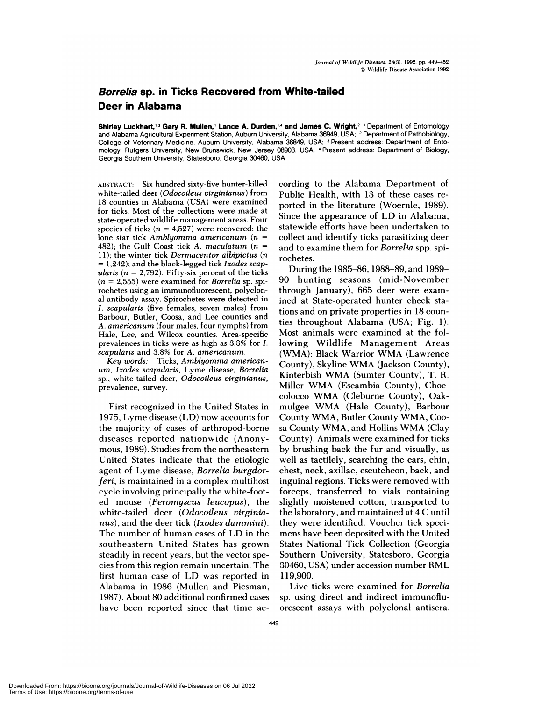## **Borrelia sp. in Ticks Recovered from White-tailed Deer in Alabama**

**Shirley Luckhart,'3 Gary R. Mullen,' Lance A.Durden,4 and James C. Wright,2** 'Department of Entomology and Alabama Agricultural Experiment Station, Auburn University, Alabama 36949, USA; **<sup>2</sup>** Department of Pathobiology, College of Veterinary Medicine, Auburn University, Alabama 36849, USA; <sup>3</sup> Present address: Department of Entomology, Rutgers University, New Brunswick, New Jersey 08903, USA. Present address: Department of Biology, Georgia Southern University, Statesboro, Georgia 30460, USA

ABSTRACT: Six hundred sixty-five hunter-killed white-tailed deer *(Odocoileus vrirginianus)* from 18 counties in Alabama (USA) were examined for ticks. Most of the collections were made at state-operated wildlife management areas. Four species of ticks  $(n = 4.527)$  were recovered: the lone star tick *Amblyomma americanum (n* <sup>=</sup> 482); the Gulf Coast tick A. maculatum  $(n =$ 11); the winter tick *Dermacentor albipictus (n* <sup>=</sup> 1,242); and the black-legged tick *Ixodes scap* ularis ( $n = 2,792$ ). Fifty-six percent of the ticks  $(n = 2,555)$  were examined for *Borrelia* sp. spirochetes using an immunofluorescent, polyclon al antibody assay. Spirochetes were detected in *I. scapularis* (five females, seven males) from Barbour, Butler, Coosa, and Lee counties and *A. americanurn* (four males, four nymphs) from Hale, Lee, and Wilcox counties. Area-specific prevalences in ticks were as high as 3.3% for *I.* scapularis and 3.8% for *A. americanum.*

Key words: Ticks, Amblyomma *american urn, Ixodes scapulars,* Lyme disease, *Borrelia* sp., white-tailed deer, *Odocoileus virginianus,* prevalence, survey.

First recognized in the United States in 1975, Lyme disease (LD) now accounts for the majority of cases of arthropod-borne diseases reported nationwide (Anonymous, 1989). Studies from the northeastern United States indicate that the etiologic agent of Lyme disease, *Borrelia burgdorferi,* is maintained in a complex multihost cycle involving principally the white-footed mouse *(Peromyscus leucopus),* the white-tailed deer *(Odocoileus virginianus),* and the deer tick *(Ixodes dammini).* The number of human cases of LD in the southeastern United States has grown steadily in recent years, but the vector species from this region remain uncertain. The first human case of LD was reported in Alabama in 1986 (Mullen and Piesman, 1987). About 80 additional confirmed cases have been reported since that time according to the Alabama Department of Public Health, with 13 of these cases re ported in the literature (Woernle, 1989). Since the appearance of LD in Alabama, statewide efforts have been undertaken to collect and identify ticks parasitizing deer and to examine them for *Borrelia* spp. spirochetes.

During the 1985-86, 1988-89, and 1989- 90 hunting seasons (mid-November through January), 665 deer were examined at State-operated hunter check stations and on private properties in 18 counties throughout Alabama (USA; Fig. 1). Most animals were examined at the following Wildlife Management Areas (WMA): Black Warrior WMA (Lawrence County), Skyline WMA (Jackson County), Kinterbish WMA (Sumter County), T. R. Miller WMA (Escambia County), Choccolocco WMA (Cleburne County), Oakmulgee WMA (Hale County), Barbour County WMA, Butler County WMA, Coo sa County WMA, and Hollins WMA (Clay County). Animals were examined for ticks by brushing back the fur and visually, as well as tactilely, searching the ears, chin, chest, neck, axillae, escutcheon, back, and inguinal regions. Ticks were removed with forceps, transferred to vials containing slightly moistened cotton, transported to the laboratory, and maintained at 4 C until they were identified. Voucher tick speci mens have been deposited with the United States National Tick Collection (Georgia Southern University, Statesboro, Georgia 30460, USA) under accession number RML 119,900.

Live ticks were examined for *Borrelia* sp. using direct and indirect immunofluorescent assays with polyclonal antisera.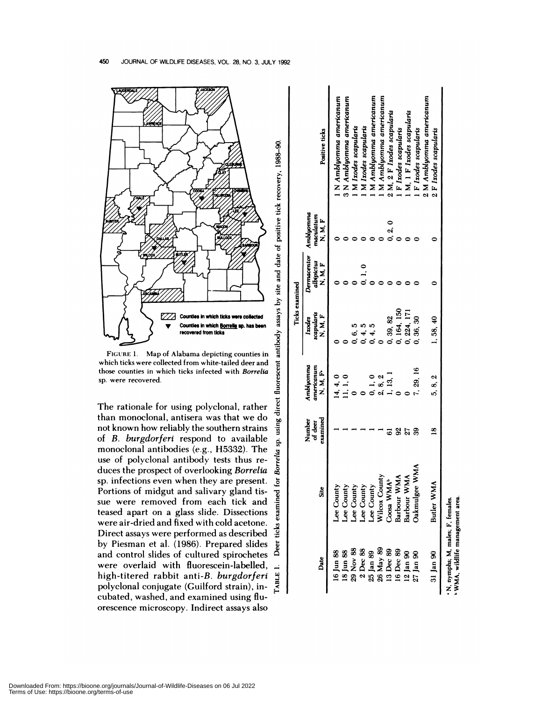

FIGURE 1. Map of Alabama depicting counties in which ticks were collected from white-tailed deer and those counties in which ticks infected with Borrelia sp. were recovered.

fluorescent

direct

using

sp.

 $\vec{e}$ 

examined

 $\ddot{=}$ 

The rationale for using polyclonal, rather than monoclonal, antisera was that we do not known how reliably the southern strains of B. burgdorferi respond to available monoclonal antibodies (e.g., H5332). The Borrelia use of polyclonal antibody tests thus reduces the prospect of overlooking Borrelia sp. infections even when they are present. Portions of midgut and salivary gland tissue were removed from each tick and teased apart on a glass slide. Dissections were air-dried and fixed with cold acetone. ticks Direct assays were performed as described by Piesman et al. (1986). Prepared slides Deer and control slides of cultured spirochetes were overlaid with fluorescein-labelled, **TABLE** high-titered rabbit anti-B. burgdorferi polyclonal conjugate (Guilford strain), incubated, washed, and examined using fluorescence microscopy. Indirect assays also

|                                                                    |                         |                               |                                        | <b>Ticks examined</b>           |                                                |                    |                            |
|--------------------------------------------------------------------|-------------------------|-------------------------------|----------------------------------------|---------------------------------|------------------------------------------------|--------------------|----------------------------|
| Date                                                               | Site                    | examined<br>Number<br>of deer | Amblyomma<br>americanum<br>E.<br>N. M. | scapularis<br>N, M, F<br>Ixodes | Dermacentor Amblyomma<br>albipictus<br>F. N. F | maculatum<br>N.M.F | Positive ticks             |
| 16 Jun 88                                                          | Lee County              |                               | 14, 4, 0                               |                                 |                                                |                    | I N Amblyomma americanum   |
| 18 Jun 88                                                          | Lee County              |                               | 11, 1, 0                               |                                 |                                                |                    | 3 N Amblyomma americanum   |
| 29 Nov 88                                                          | Lee County              |                               |                                        |                                 |                                                |                    | M Ixodes scapularis        |
| $2$ Dec $88$                                                       | Lee County              |                               |                                        |                                 | 0, 1, 0                                        |                    | M Ixodes scapularis        |
| 25 Jan 89                                                          | Lee County              |                               |                                        |                                 |                                                |                    | M Amblyomma americanum     |
| 26 May 89                                                          | Wilcox County           |                               | 2, 8, 2                                |                                 |                                                |                    | 1 M Amblyomma americanum   |
| 13 Dec 89                                                          | Coosa WMAb              | 6                             | 1, 13, 1                               | 0, 39, 82                       |                                                | 0, 2, 0            | 2 M, 2 F Ixodes scapularis |
| 16 Dec 89                                                          | Barbour WMA             | $\overline{3}$                |                                        | 0, 164, 150                     |                                                |                    | F Ixodes scapularis        |
| 12 Jan 90                                                          | Barbour WMA             | 27                            |                                        | 0, 224, 171                     |                                                |                    | M. 1 F Ixodes scapularis   |
| 27 Jan 90                                                          | <b>WMA</b><br>Oakmulgee | 39                            | 7, 29, 16                              | 0, 36, 30                       |                                                |                    | F Ixodes scapularis        |
|                                                                    |                         |                               |                                        |                                 |                                                |                    | 2 M Amblyomma americanum   |
| 31 Jan 90                                                          | Butler WMA              | $\overline{8}$                | 5, 8, 2                                | 1,58,40                         |                                                |                    | 2 F Ixodes scapularis      |
| WMA, wildlife management area.<br>N, nymphs; M, males; F, females. |                         |                               |                                        |                                 |                                                |                    |                            |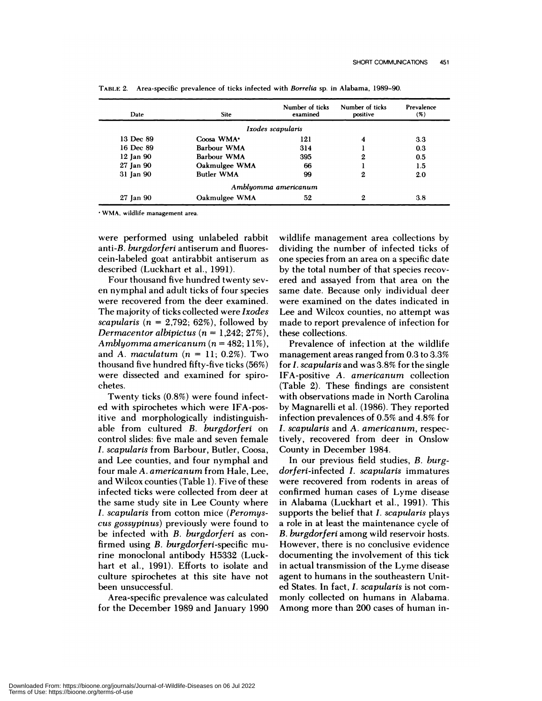| Date          | <b>Site</b>       | Number of ticks<br>examined | Number of ticks<br>positive | Prevalence<br>$($ %) |
|---------------|-------------------|-----------------------------|-----------------------------|----------------------|
|               |                   | Ixodes scapularis           |                             |                      |
| 13 Dec 89     | Coosa WMA $\cdot$ | 121                         | 4                           | 3.3                  |
| 16 Dec 89     | Barbour WMA       | 314                         |                             | 0.3                  |
| $12$ Jan $90$ | Barbour WMA       | 395                         | 2                           | 0.5                  |
| 27 Jan 90     | Oakmulgee WMA     | 66                          |                             | 1.5                  |
| 31 Jan 90     | <b>Butler WMA</b> | 99                          | 2                           | 2.0                  |
|               |                   | Amblyomma americanum        |                             |                      |
| 27 Jan 90     | Oakmulgee WMA     | 52                          | 2                           | 3.8                  |

TABLE 2. Area-specific prevalence of ticks infected with *Borrelia* sp. in Alabama, 1989-90.

wMA. wildlife management area.

were performed using unlabeled rabbit anti-B. *burgdorferi* antiserum and fluorescein-labeled goat antirabbit antiserum as described (Luckhart et al., 1991).

Four thousand five hundred twenty sev en nymphal and adult ticks of four species were recovered from the deer examined. The majority of ticks collected were *Ixodes scapularis*  $(n = 2,792; 62\%)$ , followed by *Dermacentor albipictus*  $(n = 1,242; 27\%)$ , *Amblyomma americanum (n* <sup>=</sup> 482; 11%), and *A. maculatum*  $(n = 11; 0.2\%)$ . Two thousand five hundred fifty-five ticks (56%) were dissected and examined for spirochetes.

Twenty ticks (0.8%) were found infected with spirochetes which were IFA-positive and morphologically indistinguishable from cultured *B. burgdorferi* on control slides: five male and seven female *I. scapularis* from Barbour, Butler, Coosa, and Lee counties, and four nymphal and four male *A. americanum* from Hale, Lee, and Wilcox counties (Table 1). Five of these infected ticks were collected from deer at the same study site in Lee County where *I. scapularis* from cotton mice *(Peromys cus gossypinus)* previously were found to be infected with B. *burgdorferi* as con firmed using B. *burgdorferi-specific* murine monoclonal antibody H5332 (Luckhart et al., 1991). Efforts to isolate and culture spirochetes at this site have not been unsuccessful.

Area-specific prevalence was calculated for the December 1989 and January 1990

wildlife management area collections by dividing the number of infected ticks of one species from an area on a specific date by the total number of that species recov ered and assayed from that area on the same date. Because only individual deer were examined on the dates indicated in Lee and Wilcox counties, no attempt was made to report prevalence of infection for these collections.

Prevalence of infection at the wildlife management areas ranged from 0.3 to 3.3% for *I. scapularis* and was 3.8% for the single IFA-positive *A. americanum* collection (Table 2). These findings are consistent with observations made in North Carolina by Magnarelli et al. (1986). They reported infection prevalences of  $0.5\%$  and  $4.8\%$  for *I. scapularis* and *A. americanum,* respectively, recovered from deer in Onslow County in December 1984.

In our previous field studies, B. *burg*dorferi-infected *I. scapularis* immatures were recovered from rodents in areas of confirmed human cases of Lyme disease in Alabama (Luckhart et al., 1991). This supports the belief that *I. scapularis* plays a role in at least the maintenance cycle of B. *burgdorferi* among wild reservoir hosts. However, there is no conclusive evidence documenting the involvement of this tick in actual transmission of the Lyme disease agent to humans in the southeastern United States. In fact, *I. scapularis* is not com monly collected on humans in Alabama. Among more than 200 cases of human in-